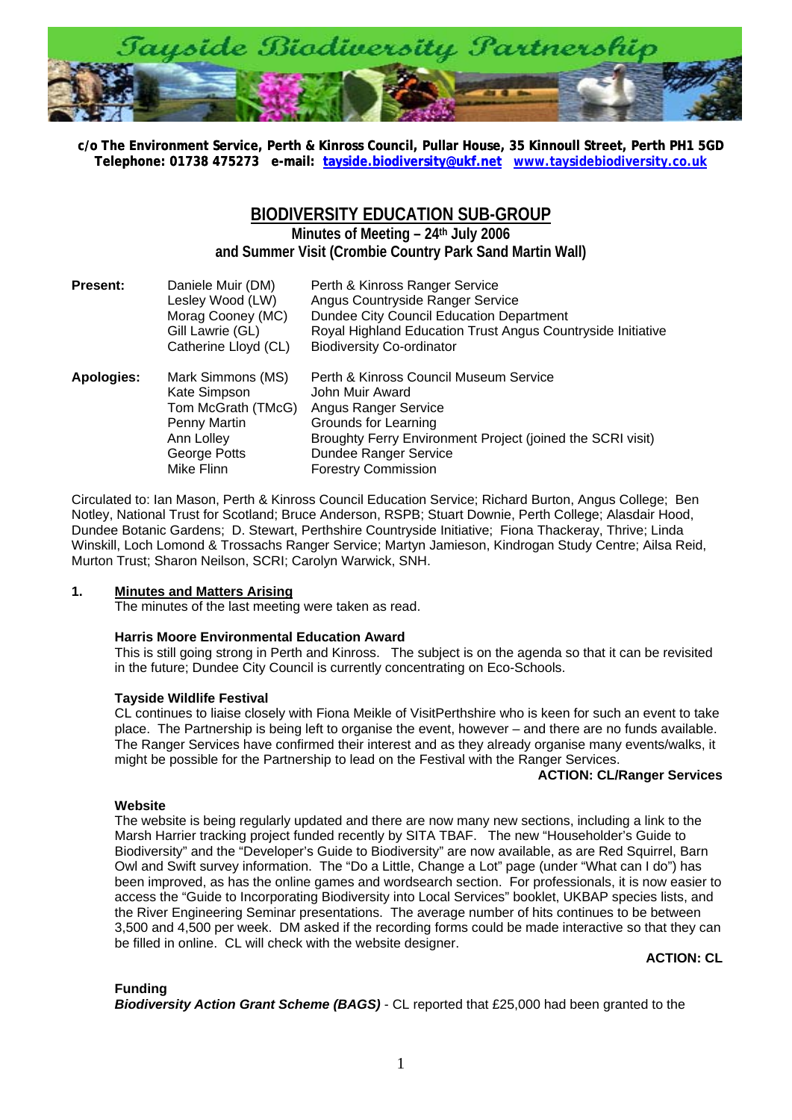

**c/o The Environment Service, Perth & Kinross Council, Pullar House, 35 Kinnoull Street, Perth PH1 5[G](http://www.taysidebiodiversity.co.uk/)D [Telephone: 01738 475273 e-mail: tayside.biodiversity@ukf.net](mailto:tayside.biodiversity@ukf.net) www.taysidebiodiversity.co.uk**

# **BIODIVERSITY EDUCATION SUB-GROUP**

**Minutes of Meeting – 24th July 2006 and Summer Visit (Crombie Country Park Sand Martin Wall)** 

| <b>Present:</b> | Daniele Muir (DM)<br>Lesley Wood (LW)<br>Morag Cooney (MC)<br>Gill Lawrie (GL)<br>Catherine Lloyd (CL)              | Perth & Kinross Ranger Service<br>Angus Countryside Ranger Service<br>Dundee City Council Education Department<br>Royal Highland Education Trust Angus Countryside Initiative<br><b>Biodiversity Co-ordinator</b>                     |
|-----------------|---------------------------------------------------------------------------------------------------------------------|---------------------------------------------------------------------------------------------------------------------------------------------------------------------------------------------------------------------------------------|
| Apologies:      | Mark Simmons (MS)<br>Kate Simpson<br>Tom McGrath (TMcG)<br>Penny Martin<br>Ann Lolley<br>George Potts<br>Mike Flinn | Perth & Kinross Council Museum Service<br>John Muir Award<br><b>Angus Ranger Service</b><br>Grounds for Learning<br>Broughty Ferry Environment Project (joined the SCRI visit)<br>Dundee Ranger Service<br><b>Forestry Commission</b> |

Circulated to: Ian Mason, Perth & Kinross Council Education Service; Richard Burton, Angus College; Ben Notley, National Trust for Scotland; Bruce Anderson, RSPB; Stuart Downie, Perth College; Alasdair Hood, Dundee Botanic Gardens; D. Stewart, Perthshire Countryside Initiative; Fiona Thackeray, Thrive; Linda Winskill, Loch Lomond & Trossachs Ranger Service; Martyn Jamieson, Kindrogan Study Centre; Ailsa Reid, Murton Trust; Sharon Neilson, SCRI; Carolyn Warwick, SNH.

## **1. Minutes and Matters Arising**

The minutes of the last meeting were taken as read.

## **Harris Moore Environmental Education Award**

This is still going strong in Perth and Kinross. The subject is on the agenda so that it can be revisited in the future; Dundee City Council is currently concentrating on Eco-Schools.

## **Tayside Wildlife Festival**

CL continues to liaise closely with Fiona Meikle of VisitPerthshire who is keen for such an event to take place. The Partnership is being left to organise the event, however – and there are no funds available. The Ranger Services have confirmed their interest and as they already organise many events/walks, it might be possible for the Partnership to lead on the Festival with the Ranger Services.

## **ACTION: CL/Ranger Services**

## **Website**

The website is being regularly updated and there are now many new sections, including a link to the Marsh Harrier tracking project funded recently by SITA TBAF. The new "Householder's Guide to Biodiversity" and the "Developer's Guide to Biodiversity" are now available, as are Red Squirrel, Barn Owl and Swift survey information. The "Do a Little, Change a Lot" page (under "What can I do") has been improved, as has the online games and wordsearch section. For professionals, it is now easier to access the "Guide to Incorporating Biodiversity into Local Services" booklet, UKBAP species lists, and the River Engineering Seminar presentations. The average number of hits continues to be between 3,500 and 4,500 per week. DM asked if the recording forms could be made interactive so that they can be filled in online. CL will check with the website designer.

## **ACTION: CL**

## **Funding**

*Biodiversity Action Grant Scheme (BAGS)* - CL reported that £25,000 had been granted to the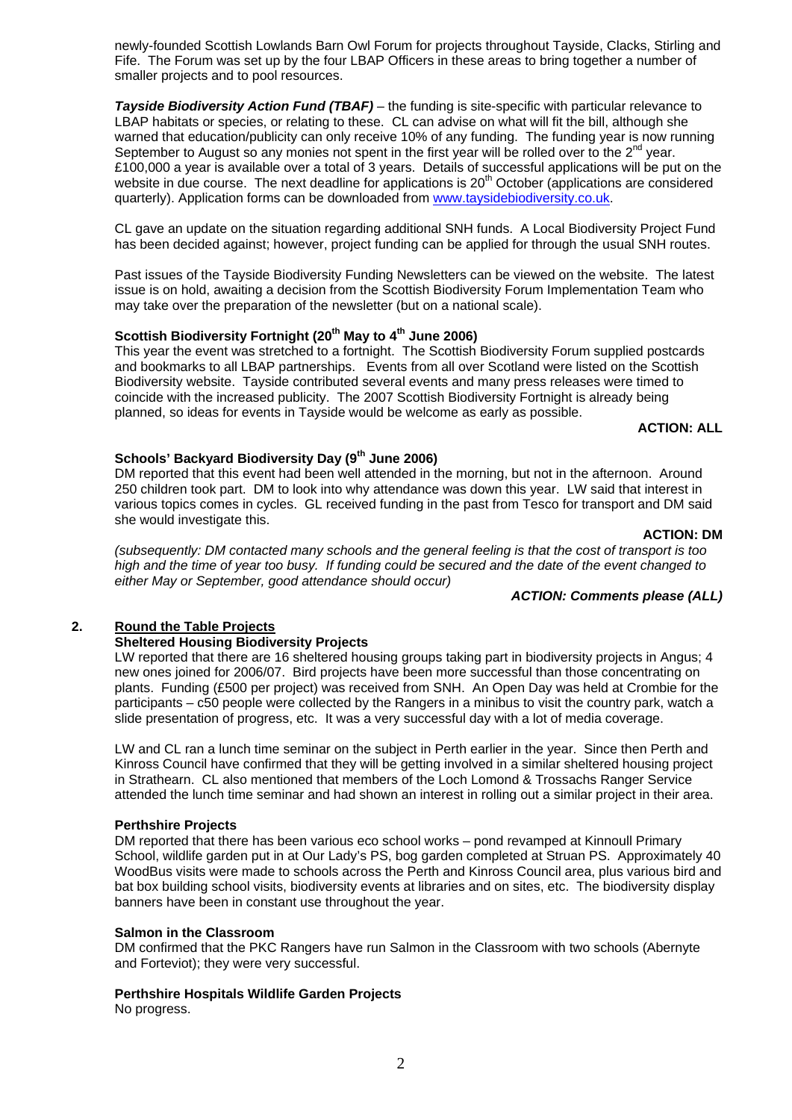2

newly-founded Scottish Lowlands Barn Owl Forum for projects throughout Tayside, Clacks, Stirling and Fife. The Forum was set up by the four LBAP Officers in these areas to bring together a number of smaller projects and to pool resources.

*Tayside Biodiversity Action Fund (TBAF)* – the funding is site-specific with particular relevance to LBAP habitats or species, or relating to these. CL can advise on what will fit the bill, although she warned that education/publicity can only receive 10% of any funding. The funding year is now running September to August so any monies not spent in the first year will be rolled over to the  $2^{nd}$  year. £100,000 a year is available over a total of 3 years. Details of successful applications will be put on the website in due course. The next deadline for applications is 20<sup>th</sup> October (applications are considered quarterly). Application forms can be downloaded from [www.taysidebiodiversity.co.uk.](http://www.taysidebiodiversity.co.uk/)

CL gave an update on the situation regarding additional SNH funds. A Local Biodiversity Project Fund has been decided against; however, project funding can be applied for through the usual SNH routes.

Past issues of the Tayside Biodiversity Funding Newsletters can be viewed on the website. The latest issue is on hold, awaiting a decision from the Scottish Biodiversity Forum Implementation Team who may take over the preparation of the newsletter (but on a national scale).

## Scottish Biodiversity Fortnight (20<sup>th</sup> May to 4<sup>th</sup> June 2006)

This year the event was stretched to a fortnight. The Scottish Biodiversity Forum supplied postcards and bookmarks to all LBAP partnerships. Events from all over Scotland were listed on the Scottish Biodiversity website. Tayside contributed several events and many press releases were timed to coincide with the increased publicity. The 2007 Scottish Biodiversity Fortnight is already being planned, so ideas for events in Tayside would be welcome as early as possible.

## **ACTION: ALL**

## **Schools' Backyard Biodiversity Day (9th June 2006)**

DM reported that this event had been well attended in the morning, but not in the afternoon. Around 250 children took part. DM to look into why attendance was down this year. LW said that interest in various topics comes in cycles. GL received funding in the past from Tesco for transport and DM said she would investigate this.

#### **ACTION: DM**

*(subsequently: DM contacted many schools and the general feeling is that the cost of transport is too high and the time of year too busy. If funding could be secured and the date of the event changed to either May or September, good attendance should occur)* 

## *ACTION: Comments please (ALL)*

## **2. Round the Table Projects**

## **Sheltered Housing Biodiversity Projects**

LW reported that there are 16 sheltered housing groups taking part in biodiversity projects in Angus; 4 new ones joined for 2006/07. Bird projects have been more successful than those concentrating on plants. Funding (£500 per project) was received from SNH. An Open Day was held at Crombie for the participants – c50 people were collected by the Rangers in a minibus to visit the country park, watch a slide presentation of progress, etc. It was a very successful day with a lot of media coverage.

LW and CL ran a lunch time seminar on the subject in Perth earlier in the year. Since then Perth and Kinross Council have confirmed that they will be getting involved in a similar sheltered housing project in Strathearn. CL also mentioned that members of the Loch Lomond & Trossachs Ranger Service attended the lunch time seminar and had shown an interest in rolling out a similar project in their area.

## **Perthshire Projects**

DM reported that there has been various eco school works – pond revamped at Kinnoull Primary School, wildlife garden put in at Our Lady's PS, bog garden completed at Struan PS. Approximately 40 WoodBus visits were made to schools across the Perth and Kinross Council area, plus various bird and bat box building school visits, biodiversity events at libraries and on sites, etc. The biodiversity display banners have been in constant use throughout the year.

## **Salmon in the Classroom**

DM confirmed that the PKC Rangers have run Salmon in the Classroom with two schools (Abernyte and Forteviot); they were very successful.

## **Perthshire Hospitals Wildlife Garden Projects**

No progress.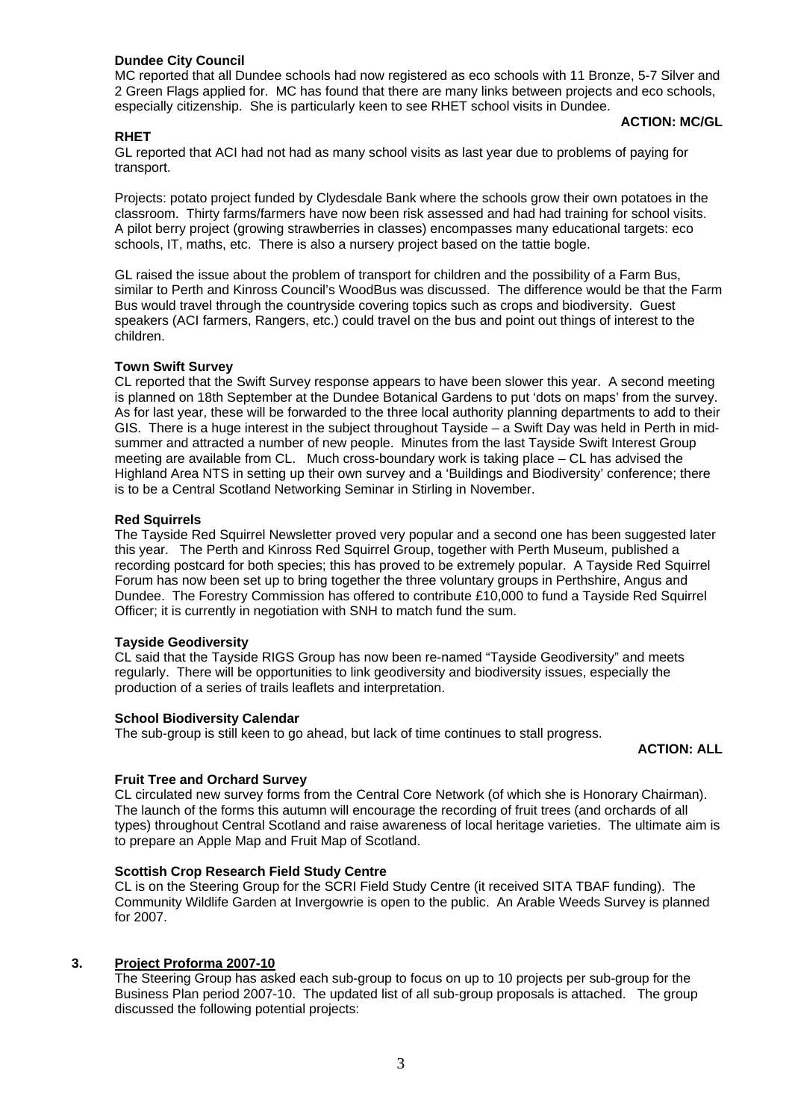## **Dundee City Council**

MC reported that all Dundee schools had now registered as eco schools with 11 Bronze, 5-7 Silver and 2 Green Flags applied for. MC has found that there are many links between projects and eco schools, especially citizenship. She is particularly keen to see RHET school visits in Dundee.

## **RHET**

## **ACTION: MC/GL**

GL reported that ACI had not had as many school visits as last year due to problems of paying for transport.

Projects: potato project funded by Clydesdale Bank where the schools grow their own potatoes in the classroom. Thirty farms/farmers have now been risk assessed and had had training for school visits. A pilot berry project (growing strawberries in classes) encompasses many educational targets: eco schools, IT, maths, etc. There is also a nursery project based on the tattie bogle.

GL raised the issue about the problem of transport for children and the possibility of a Farm Bus, similar to Perth and Kinross Council's WoodBus was discussed. The difference would be that the Farm Bus would travel through the countryside covering topics such as crops and biodiversity. Guest speakers (ACI farmers, Rangers, etc.) could travel on the bus and point out things of interest to the children.

## **Town Swift Survey**

CL reported that the Swift Survey response appears to have been slower this year. A second meeting is planned on 18th September at the Dundee Botanical Gardens to put 'dots on maps' from the survey. As for last year, these will be forwarded to the three local authority planning departments to add to their GIS. There is a huge interest in the subject throughout Tayside – a Swift Day was held in Perth in midsummer and attracted a number of new people. Minutes from the last Tayside Swift Interest Group meeting are available from CL. Much cross-boundary work is taking place – CL has advised the Highland Area NTS in setting up their own survey and a 'Buildings and Biodiversity' conference; there is to be a Central Scotland Networking Seminar in Stirling in November.

## **Red Squirrels**

The Tayside Red Squirrel Newsletter proved very popular and a second one has been suggested later this year. The Perth and Kinross Red Squirrel Group, together with Perth Museum, published a recording postcard for both species; this has proved to be extremely popular. A Tayside Red Squirrel Forum has now been set up to bring together the three voluntary groups in Perthshire, Angus and Dundee. The Forestry Commission has offered to contribute £10,000 to fund a Tayside Red Squirrel Officer; it is currently in negotiation with SNH to match fund the sum.

## **Tayside Geodiversity**

CL said that the Tayside RIGS Group has now been re-named "Tayside Geodiversity" and meets regularly. There will be opportunities to link geodiversity and biodiversity issues, especially the production of a series of trails leaflets and interpretation.

## **School Biodiversity Calendar**

The sub-group is still keen to go ahead, but lack of time continues to stall progress.

## **ACTION: ALL**

## **Fruit Tree and Orchard Survey**

CL circulated new survey forms from the Central Core Network (of which she is Honorary Chairman). The launch of the forms this autumn will encourage the recording of fruit trees (and orchards of all types) throughout Central Scotland and raise awareness of local heritage varieties. The ultimate aim is to prepare an Apple Map and Fruit Map of Scotland.

## **Scottish Crop Research Field Study Centre**

CL is on the Steering Group for the SCRI Field Study Centre (it received SITA TBAF funding). The Community Wildlife Garden at Invergowrie is open to the public. An Arable Weeds Survey is planned for 2007.

## **3. Project Proforma 2007-10**

The Steering Group has asked each sub-group to focus on up to 10 projects per sub-group for the Business Plan period 2007-10. The updated list of all sub-group proposals is attached. The group discussed the following potential projects: